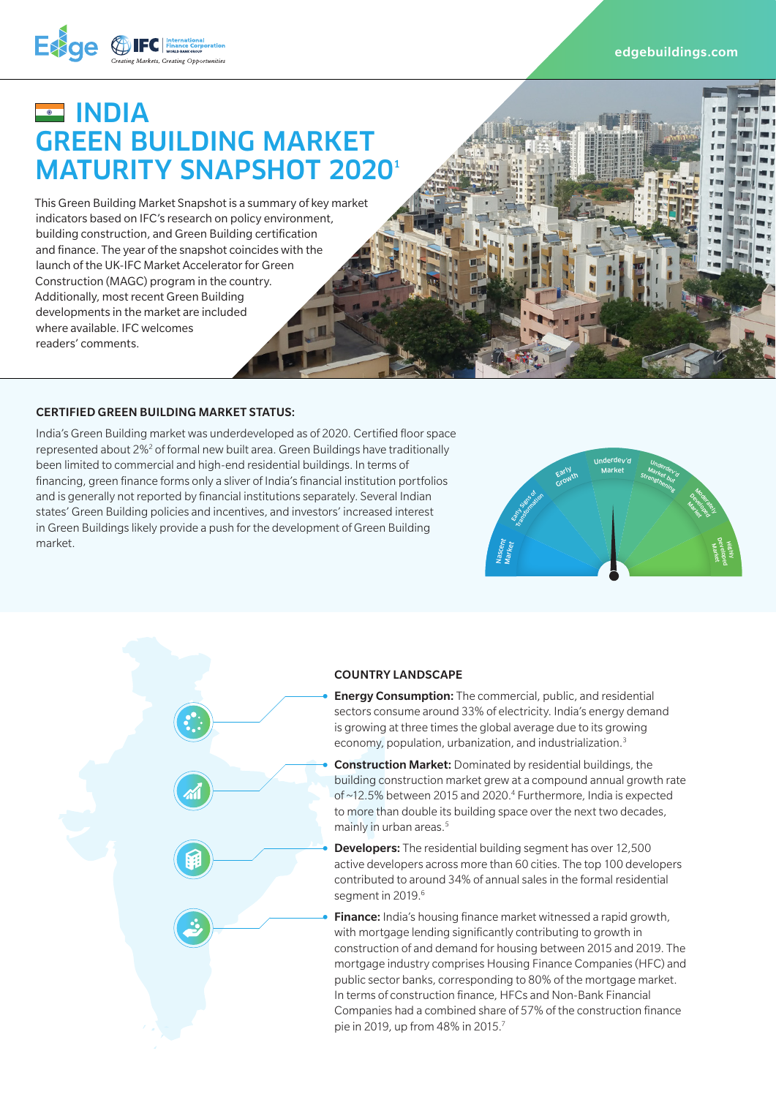

# **EXEMPLE** GREEN BUILDING MARKET **MATURITY SNAPSHOT 20201**

This Green Building Market Snapshot is a summary of key market indicators based on IFC's research on policy environment, building construction, and Green Building certification and finance. The year of the snapshot coincides with the launch of the UK-IFC Market Accelerator for Green Construction (MAGC) program in the country. Additionally, most recent Green Building developments in the market are included where available. IFC welcomes readers' comments.

**CERTIFIED GREEN BUILDING MARKET STATUS:**<br>India's Green Building market was underdeveloped as of 2020. Certified floor space<br>represented about 2%<sup>2</sup> of formal new built area. Green Buildings have traditionally<br>been limited India's Green Building market was underdeveloped as of 2020. Certified floor space represented about 2%<sup>2</sup> of formal new built area. Green Buildings have traditionally been limited to commercial and high-end residential buildings. In terms of financing, green finance forms only a sliver of India's financial institution portfolios and is generally not reported by financial institutions separately. Several Indian states' Green Building policies and incentives, and investors' increased interest in Green Buildings likely provide a push for the development of Green Building market.





#### COUNTRY LANDSCAPE

**Energy Consumption:** The commercial, public, and residential sectors consume around 33% of electricity. India's energy demand is growing at three times the global average due to its growing economy, population, urbanization, and industrialization.3

- Construction Market: Dominated by residential buildings, the building construction market grew at a compound annual growth rate of ~12.5% between 2015 and 2020.<sup>4</sup> Furthermore, India is expected to more than double its building space over the next two decades, mainly in urban areas.<sup>5</sup>
- **Developers:** The residential building segment has over 12,500 active developers across more than 60 cities. The top 100 developers contributed to around 34% of annual sales in the formal residential segment in 2019.<sup>6</sup>

**Finance:** India's housing finance market witnessed a rapid growth, with mortgage lending significantly contributing to growth in construction of and demand for housing between 2015 and 2019. The mortgage industry comprises Housing Finance Companies (HFC) and public sector banks, corresponding to 80% of the mortgage market. In terms of construction finance, HFCs and Non-Bank Financial Companies had a combined share of 57% of the construction finance pie in 2019, up from 48% in 2015.7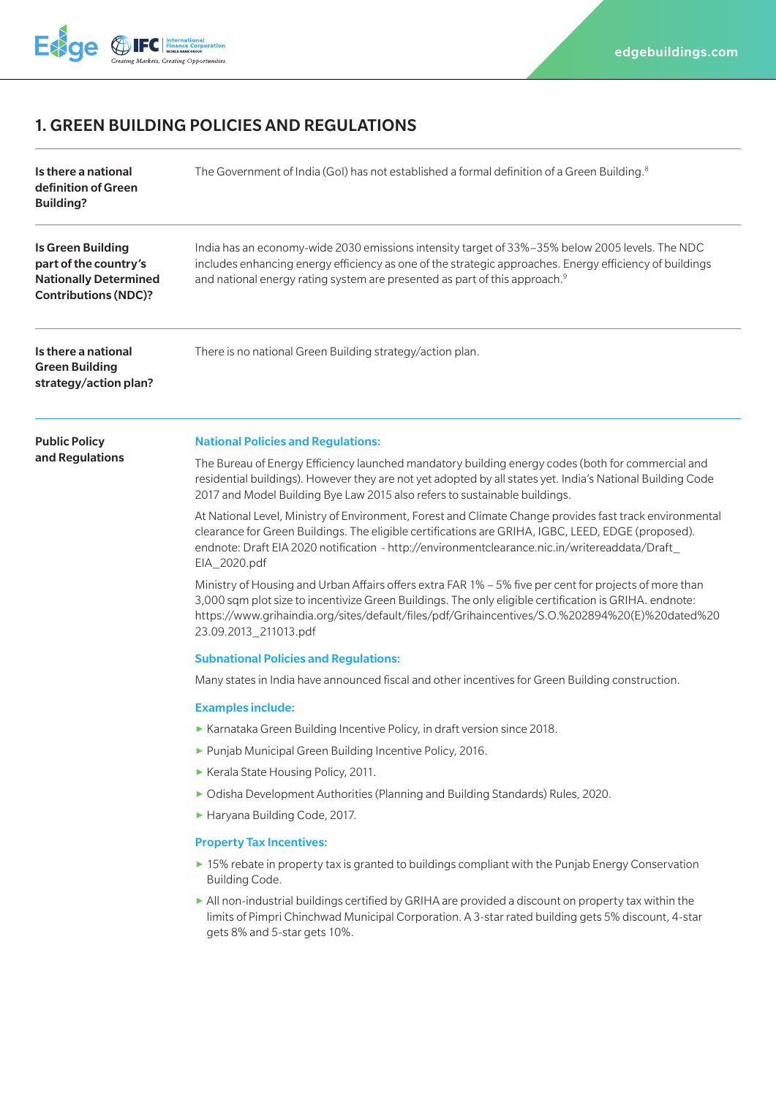

# 1. GREEN BUILDING POLICIES AND REGULATIONS

| Is there a national<br>definition of Green<br><b>Building?</b>                                            | The Government of India (GoI) has not established a formal definition of a Green Building. <sup>8</sup>                                                                                                                                                                                                                                      |
|-----------------------------------------------------------------------------------------------------------|----------------------------------------------------------------------------------------------------------------------------------------------------------------------------------------------------------------------------------------------------------------------------------------------------------------------------------------------|
| Is Green Building<br>part of the country's<br><b>Nationally Determined</b><br><b>Contributions (NDC)?</b> | India has an economy-wide 2030 emissions intensity target of 33%-35% below 2005 levels. The NDC<br>includes enhancing energy efficiency as one of the strategic approaches. Energy efficiency of buildings<br>and national energy rating system are presented as part of this approach. <sup>9</sup>                                         |
| Is there a national<br><b>Green Building</b><br>strategy/action plan?                                     | There is no national Green Building strategy/action plan.                                                                                                                                                                                                                                                                                    |
| <b>Public Policy</b><br>and Regulations                                                                   | <b>National Policies and Regulations:</b>                                                                                                                                                                                                                                                                                                    |
|                                                                                                           | The Bureau of Energy Efficiency launched mandatory building energy codes (both for commercial and<br>residential buildings). However they are not yet adopted by all states yet. India's National Building Code<br>2017 and Model Building Bye Law 2015 also refers to sustainable buildings.                                                |
|                                                                                                           | At National Level, Ministry of Environment, Forest and Climate Change provides fast track environmental<br>clearance for Green Buildings. The eligible certifications are GRIHA, IGBC, LEED, EDGE (proposed).<br>endnote: Draft EIA 2020 notification - http://environmentclearance.nic.in/writereaddata/Draft_<br>EIA_2020.pdf              |
|                                                                                                           | Ministry of Housing and Urban Affairs offers extra FAR 1% - 5% five per cent for projects of more than<br>3,000 sqm plot size to incentivize Green Buildings. The only eligible certification is GRIHA. endnote:<br>https://www.grihaindia.org/sites/default/files/pdf/Grihaincentives/S.O.%202894%20(E)%20dated%20<br>23.09.2013_211013.pdf |
|                                                                                                           | <b>Subnational Policies and Regulations:</b>                                                                                                                                                                                                                                                                                                 |
|                                                                                                           | Many states in India have announced fiscal and other incentives for Green Building construction.                                                                                                                                                                                                                                             |
|                                                                                                           | <b>Examples include:</b>                                                                                                                                                                                                                                                                                                                     |
|                                                                                                           | ▶ Karnataka Green Building Incentive Policy, in draft version since 2018.                                                                                                                                                                                                                                                                    |
|                                                                                                           | Punjab Municipal Green Building Incentive Policy, 2016.                                                                                                                                                                                                                                                                                      |
|                                                                                                           | Kerala State Housing Policy, 2011.                                                                                                                                                                                                                                                                                                           |
|                                                                                                           | ▶ Odisha Development Authorities (Planning and Building Standards) Rules, 2020.                                                                                                                                                                                                                                                              |
|                                                                                                           | Haryana Building Code, 2017.                                                                                                                                                                                                                                                                                                                 |
|                                                                                                           | <b>Property Tax Incentives:</b>                                                                                                                                                                                                                                                                                                              |
|                                                                                                           | ► 15% rebate in property tax is granted to buildings compliant with the Punjab Energy Conservation<br>Building Code.                                                                                                                                                                                                                         |
|                                                                                                           | In All non-industrial buildings certified by GRIHA are provided a discount on property tax within the<br>limits of Pimpri Chinchwad Municipal Corporation. A 3-star rated building gets 5% discount, 4-star<br>gets 8% and 5-star gets 10%.                                                                                                  |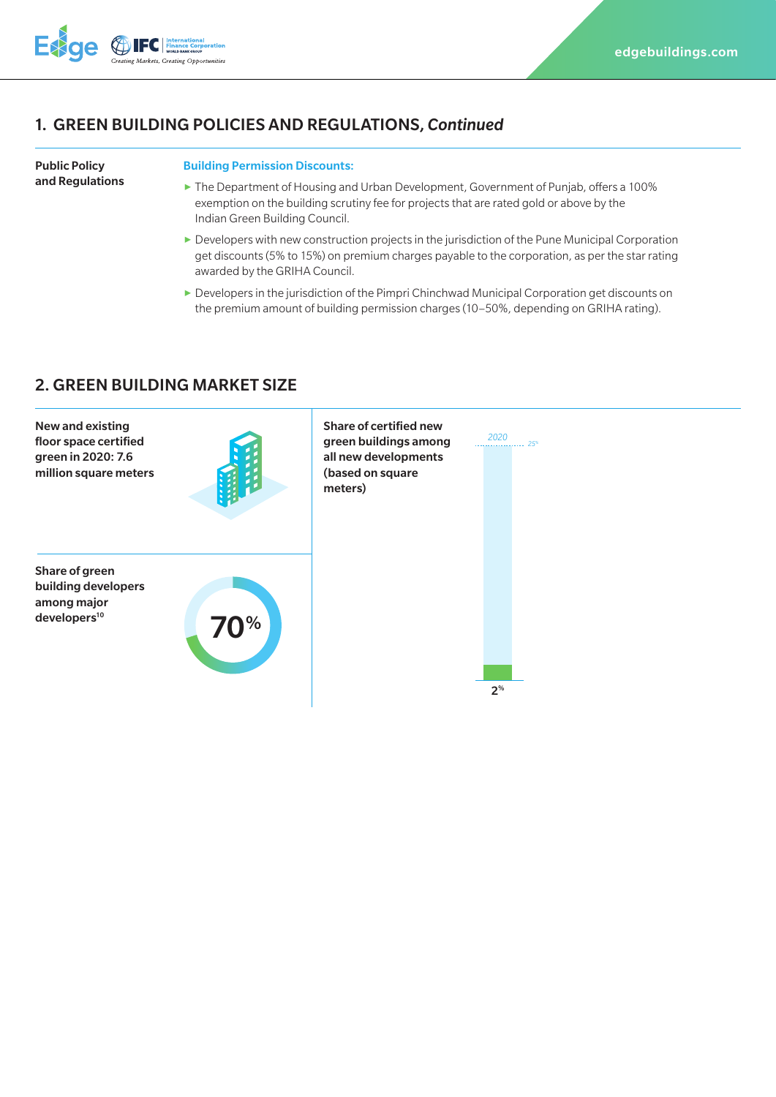

### 1. GREEN BUILDING POLICIES AND REGULATIONS, *Continued*

#### Public Policy and Regulations

#### Building Permission Discounts:

- **▶** The Department of Housing and Urban Development, Government of Punjab, offers a 100% exemption on the building scrutiny fee for projects that are rated gold or above by the Indian Green Building Council.
- ▶ Developers with new construction projects in the jurisdiction of the Pune Municipal Corporation get discounts (5% to 15%) on premium charges payable to the corporation, as per the star rating awarded by the GRIHA Council.
- ▶ Developers in the jurisdiction of the Pimpri Chinchwad Municipal Corporation get discounts on the premium amount of building permission charges (10–50%, depending on GRIHA rating).

# 2. GREEN BUILDING MARKET SIZE

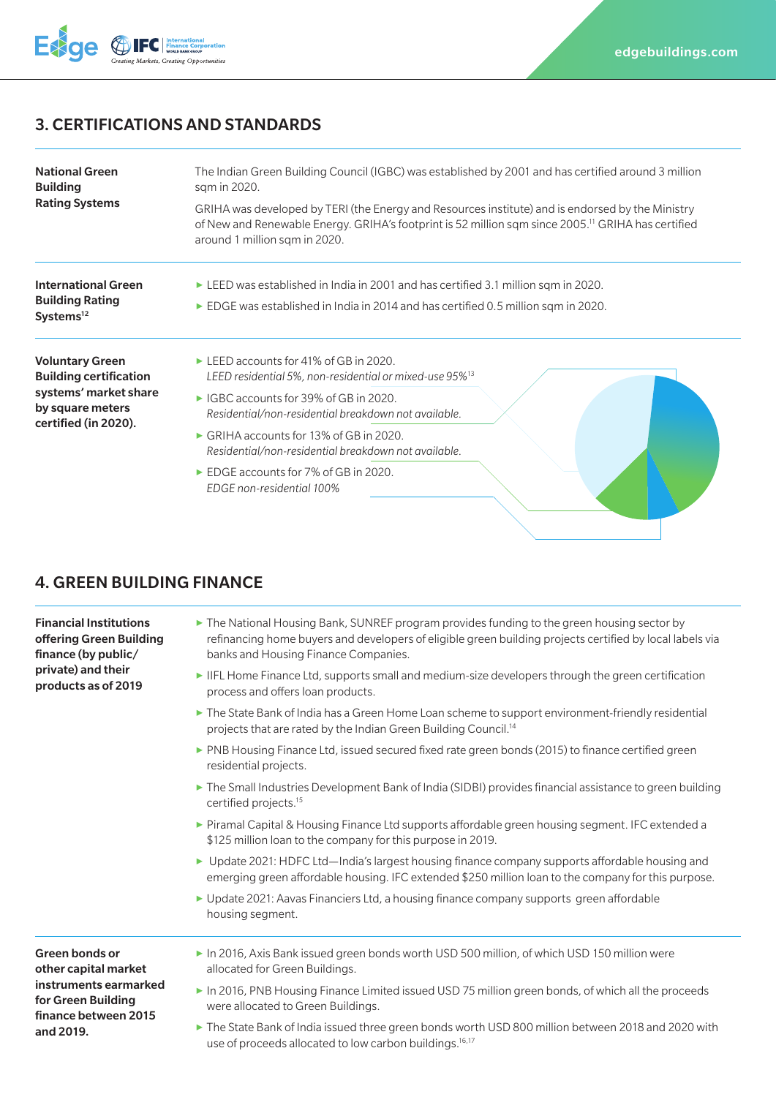

### 3. CERTIFICATIONS AND STANDARDS

| <b>National Green</b><br><b>Building</b><br><b>Rating Systems</b>                                                            | The Indian Green Building Council (IGBC) was established by 2001 and has certified around 3 million<br>sqm in 2020.<br>GRIHA was developed by TERI (the Energy and Resources institute) and is endorsed by the Ministry<br>of New and Renewable Energy. GRIHA's footprint is 52 million sqm since 2005. <sup>11</sup> GRIHA has certified<br>around 1 million sqm in 2020.                                                                 |
|------------------------------------------------------------------------------------------------------------------------------|--------------------------------------------------------------------------------------------------------------------------------------------------------------------------------------------------------------------------------------------------------------------------------------------------------------------------------------------------------------------------------------------------------------------------------------------|
| <b>International Green</b><br><b>Building Rating</b><br>Systems <sup>12</sup>                                                | ELEED was established in India in 2001 and has certified 3.1 million sqm in 2020.<br>$\triangleright$ EDGE was established in India in 2014 and has certified 0.5 million sqm in 2020.                                                                                                                                                                                                                                                     |
| <b>Voluntary Green</b><br><b>Building certification</b><br>systems' market share<br>by square meters<br>certified (in 2020). | $\blacktriangleright$ LEED accounts for 41% of GB in 2020.<br>LEED residential 5%, non-residential or mixed-use 95% <sup>13</sup><br>► IGBC accounts for 39% of GB in 2020.<br>Residential/non-residential breakdown not available.<br>$\triangleright$ GRIHA accounts for 13% of GB in 2020.<br>Residential/non-residential breakdown not available.<br>$\triangleright$ EDGE accounts for 7% of GB in 2020.<br>EDGE non-residential 100% |

# 4. GREEN BUILDING FINANCE

Financial Institutions offering Green Building finance (by public/ private) and their products as of 2019

- **▶** The National Housing Bank, SUNREF program provides funding to the green housing sector by refinancing home buyers and developers of eligible green building projects certified by local labels via banks and Housing Finance Companies.
- **▶** IIFL Home Finance Ltd, supports small and medium-size developers through the green certification process and offers loan products.
- **▶** The State Bank of India has a Green Home Loan scheme to support environment-friendly residential projects that are rated by the Indian Green Building Council.14
- ▶ PNB Housing Finance Ltd, issued secured fixed rate green bonds (2015) to finance certified green residential projects.
- **▶** The Small Industries Development Bank of India (SIDBI) provides financial assistance to green building certified projects.15
- **▶** Piramal Capital & Housing Finance Ltd supports affordable green housing segment. IFC extended a \$125 million loan to the company for this purpose in 2019.
- **▶** Update 2021: HDFC Ltd—India's largest housing finance company supports affordable housing and emerging green affordable housing. IFC extended \$250 million loan to the company for this purpose.
- **▶** Update 2021: Aavas Financiers Ltd, a housing finance company supports green affordable housing segment.

Green bonds or other capital market instruments earmarked for Green Building finance between 2015 and 2019.

- **▶** In 2016, Axis Bank issued green bonds worth USD 500 million, of which USD 150 million were allocated for Green Buildings.
- **▶** In 2016, PNB Housing Finance Limited issued USD 75 million green bonds, of which all the proceeds were allocated to Green Buildings.
- **▶** The State Bank of India issued three green bonds worth USD 800 million between 2018 and 2020 with use of proceeds allocated to low carbon buildings.<sup>16,17</sup>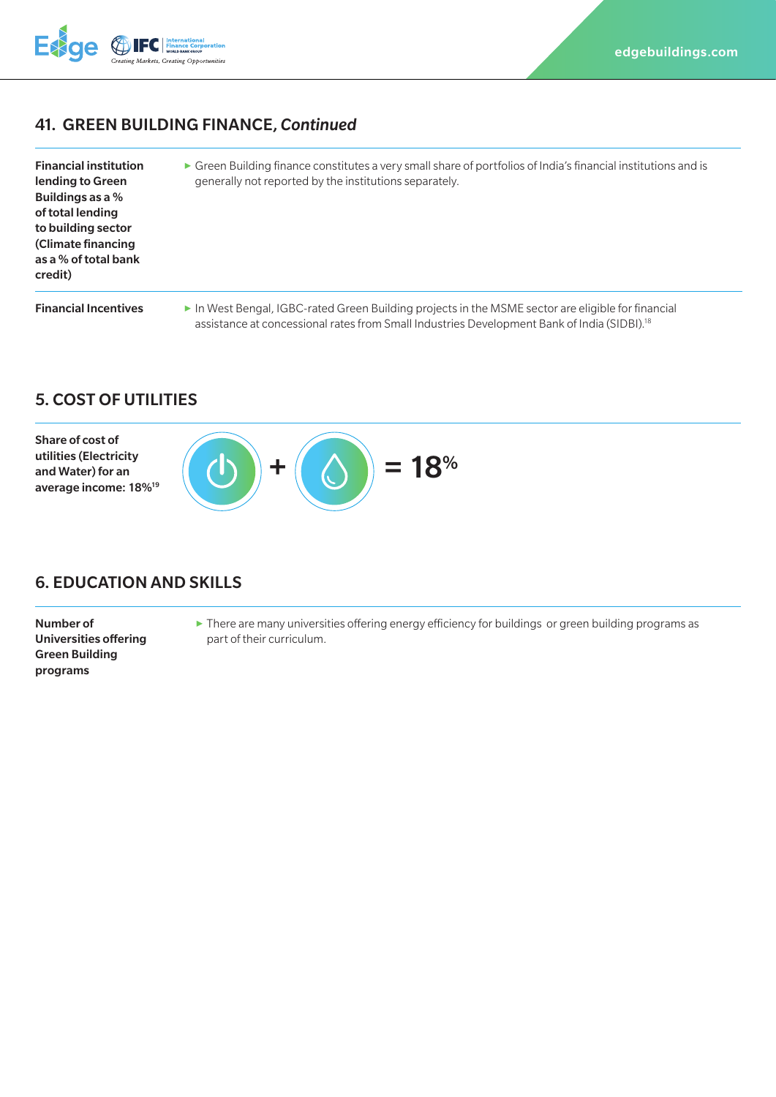

### 41. GREEN BUILDING FINANCE, *Continued*

| <b>Financial institution</b> |  |
|------------------------------|--|
| lending to Green             |  |
| Buildings as a %             |  |
| of total lending             |  |
| to building sector           |  |
| (Climate financing           |  |
| as a % of total bank         |  |
| credit)                      |  |

**▶** Green Building finance constitutes a very small share of portfolios of India's financial institutions and is generally not reported by the institutions separately.

**Financial Incentives** ▶ In West Bengal, IGBC-rated Green Building projects in the MSME sector are eligible for financial assistance at concessional rates from Small Industries Development Bank of India (SIDBI).<sup>18</sup>

#### 5. COST OF UTILITIES



#### 6. EDUCATION AND SKILLS

Number of Universities offering Green Building programs

**▶** There are many universities offering energy efficiency for buildings or green building programs as part of their curriculum.